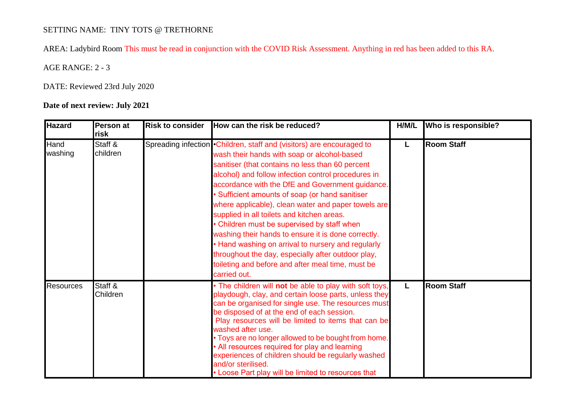## SETTING NAME: TINY TOTS @ TRETHORNE

AREA: Ladybird Room This must be read in conjunction with the COVID Risk Assessment. Anything in red has been added to this RA.

AGE RANGE: 2 - 3

DATE: Reviewed 23rd July 2020

## **Date of next review: July 2021**

| <b>Hazard</b>    | Person at<br>risk   | <b>Risk to consider</b> | How can the risk be reduced?                                                                                                                                                                                                                                                                                                                                                                                                                                                                                                                                                                                                                                                                                                        | H/M/L | Who is responsible? |
|------------------|---------------------|-------------------------|-------------------------------------------------------------------------------------------------------------------------------------------------------------------------------------------------------------------------------------------------------------------------------------------------------------------------------------------------------------------------------------------------------------------------------------------------------------------------------------------------------------------------------------------------------------------------------------------------------------------------------------------------------------------------------------------------------------------------------------|-------|---------------------|
| Hand<br>washing  | Staff &<br>children |                         | Spreading infection • Children, staff and (visitors) are encouraged to<br>wash their hands with soap or alcohol-based<br>sanitiser (that contains no less than 60 percent<br>alcohol) and follow infection control procedures in<br>accordance with the DfE and Government guidance.<br>• Sufficient amounts of soap (or hand sanitiser<br>where applicable), clean water and paper towels are<br>supplied in all toilets and kitchen areas.<br>• Children must be supervised by staff when<br>washing their hands to ensure it is done correctly.<br>• Hand washing on arrival to nursery and regularly<br>throughout the day, especially after outdoor play,<br>toileting and before and after meal time, must be<br>carried out. | L     | <b>Room Staff</b>   |
| <b>Resources</b> | Staff &<br>Children |                         | • The children will not be able to play with soft toys,<br>playdough, clay, and certain loose parts, unless they<br>can be organised for single use. The resources must<br>be disposed of at the end of each session.<br>Play resources will be limited to items that can be<br>washed after use.<br>. Toys are no longer allowed to be bought from home.<br>• All resources required for play and learning<br>experiences of children should be regularly washed<br>and/or sterilised.<br>• Loose Part play will be limited to resources that                                                                                                                                                                                      | L     | <b>Room Staff</b>   |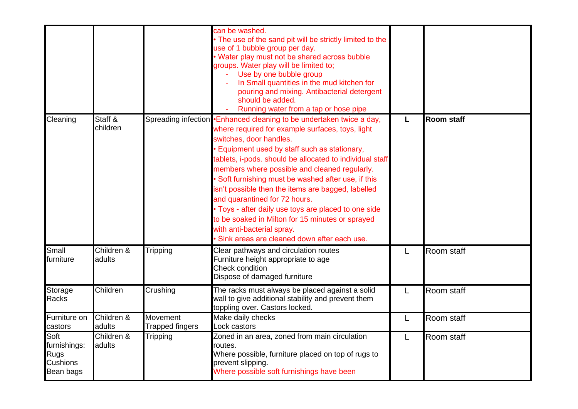|                                                              |                      |                                    | can be washed.<br>• The use of the sand pit will be strictly limited to the<br>use of 1 bubble group per day.<br>• Water play must not be shared across bubble<br>groups. Water play will be limited to;<br>Use by one bubble group<br>In Small quantities in the mud kitchen for<br>pouring and mixing. Antibacterial detergent<br>should be added.<br>Running water from a tap or hose pipe                                                                                                                                                                                                                                                          |   |                   |
|--------------------------------------------------------------|----------------------|------------------------------------|--------------------------------------------------------------------------------------------------------------------------------------------------------------------------------------------------------------------------------------------------------------------------------------------------------------------------------------------------------------------------------------------------------------------------------------------------------------------------------------------------------------------------------------------------------------------------------------------------------------------------------------------------------|---|-------------------|
| Cleaning                                                     | Staff &<br>children  |                                    | Spreading infection •Enhanced cleaning to be undertaken twice a day,<br>where required for example surfaces, toys, light<br>switches, door handles.<br>Equipment used by staff such as stationary,<br>tablets, i-pods. should be allocated to individual staff<br>members where possible and cleaned regularly.<br>• Soft furnishing must be washed after use, if this<br>isn't possible then the items are bagged, labelled<br>and quarantined for 72 hours.<br>• Toys - after daily use toys are placed to one side<br>to be soaked in Milton for 15 minutes or sprayed<br>with anti-bacterial spray.<br>Sink areas are cleaned down after each use. | L | <b>Room staff</b> |
| Small<br>furniture                                           | Children &<br>adults | Tripping                           | Clear pathways and circulation routes<br>Furniture height appropriate to age<br>Check condition<br>Dispose of damaged furniture                                                                                                                                                                                                                                                                                                                                                                                                                                                                                                                        | L | Room staff        |
| Storage<br>Racks                                             | Children             | Crushing                           | The racks must always be placed against a solid<br>wall to give additional stability and prevent them<br>toppling over. Castors locked.                                                                                                                                                                                                                                                                                                                                                                                                                                                                                                                | L | Room staff        |
| Furniture on<br>castors                                      | Children &<br>adults | Movement<br><b>Trapped fingers</b> | Make daily checks<br>Lock castors                                                                                                                                                                                                                                                                                                                                                                                                                                                                                                                                                                                                                      | L | Room staff        |
| Soft<br>furnishings:<br>Rugs<br><b>Cushions</b><br>Bean bags | Children &<br>adults | Tripping                           | Zoned in an area, zoned from main circulation<br>routes.<br>Where possible, furniture placed on top of rugs to<br>prevent slipping.<br>Where possible soft furnishings have been                                                                                                                                                                                                                                                                                                                                                                                                                                                                       | L | Room staff        |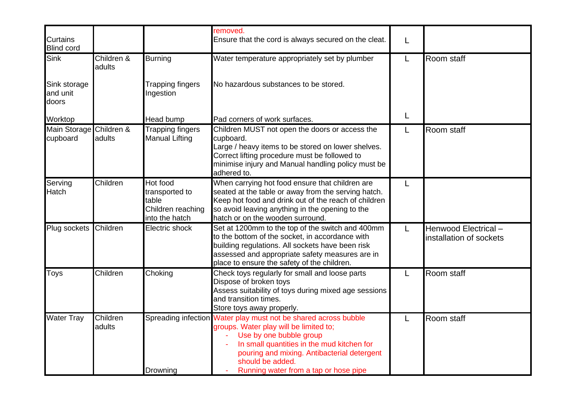| <b>Curtains</b><br><b>Blind cord</b> |                      |                                                                            | removed.<br>Ensure that the cord is always secured on the cleat.                                                                                                                                                                                                                               | L |                                                |
|--------------------------------------|----------------------|----------------------------------------------------------------------------|------------------------------------------------------------------------------------------------------------------------------------------------------------------------------------------------------------------------------------------------------------------------------------------------|---|------------------------------------------------|
| Sink                                 | Children &<br>adults | <b>Burning</b>                                                             | Water temperature appropriately set by plumber                                                                                                                                                                                                                                                 | L | Room staff                                     |
| Sink storage<br>and unit<br>doors    |                      | Trapping fingers<br>Ingestion                                              | No hazardous substances to be stored.                                                                                                                                                                                                                                                          |   |                                                |
| Worktop                              |                      | Head bump                                                                  | Pad corners of work surfaces.                                                                                                                                                                                                                                                                  | L |                                                |
| Main Storage Children &<br>cupboard  | adults               | Trapping fingers<br><b>Manual Lifting</b>                                  | Children MUST not open the doors or access the<br>cupboard.<br>Large / heavy items to be stored on lower shelves.<br>Correct lifting procedure must be followed to<br>minimise injury and Manual handling policy must be<br>adhered to.                                                        | L | Room staff                                     |
| Serving<br>Hatch                     | Children             | Hot food<br>transported to<br>table<br>Children reaching<br>into the hatch | When carrying hot food ensure that children are<br>seated at the table or away from the serving hatch.<br>Keep hot food and drink out of the reach of children<br>so avoid leaving anything in the opening to the<br>hatch or on the wooden surround.                                          | L |                                                |
| Plug sockets                         | Children             | Electric shock                                                             | Set at 1200mm to the top of the switch and 400mm<br>to the bottom of the socket, in accordance with<br>building regulations. All sockets have been risk<br>assessed and appropriate safety measures are in<br>place to ensure the safety of the children.                                      | L | Henwood Electrical-<br>installation of sockets |
| Toys                                 | Children             | Choking                                                                    | Check toys regularly for small and loose parts<br>Dispose of broken toys<br>Assess suitability of toys during mixed age sessions<br>and transition times.<br>Store toys away properly.                                                                                                         | L | Room staff                                     |
| <b>Water Tray</b>                    | Children<br>adults   | Drowning                                                                   | Spreading infection Water play must not be shared across bubble<br>groups. Water play will be limited to;<br>Use by one bubble group<br>In small quantities in the mud kitchen for<br>pouring and mixing. Antibacterial detergent<br>should be added.<br>Running water from a tap or hose pipe | L | Room staff                                     |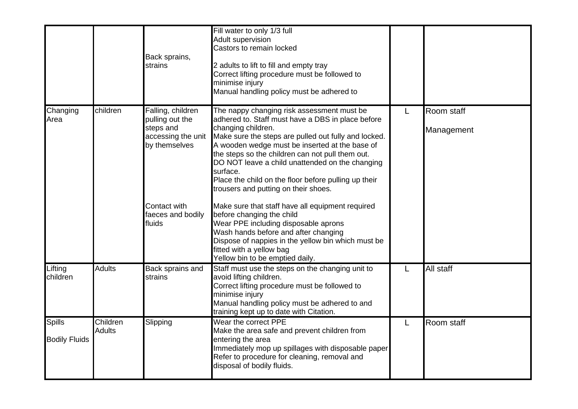|                                       |                           | Back sprains,<br>strains                                                                 | Fill water to only 1/3 full<br><b>Adult supervision</b><br>Castors to remain locked<br>2 adults to lift to fill and empty tray<br>Correct lifting procedure must be followed to<br>minimise injury<br>Manual handling policy must be adhered to                                                                                                                                                                                                    |   |                          |
|---------------------------------------|---------------------------|------------------------------------------------------------------------------------------|----------------------------------------------------------------------------------------------------------------------------------------------------------------------------------------------------------------------------------------------------------------------------------------------------------------------------------------------------------------------------------------------------------------------------------------------------|---|--------------------------|
| Changing<br>Area                      | children                  | Falling, children<br>pulling out the<br>steps and<br>accessing the unit<br>by themselves | The nappy changing risk assessment must be<br>adhered to. Staff must have a DBS in place before<br>changing children.<br>Make sure the steps are pulled out fully and locked.<br>A wooden wedge must be inserted at the base of<br>the steps so the children can not pull them out.<br>DO NOT leave a child unattended on the changing<br>surface.<br>Place the child on the floor before pulling up their<br>trousers and putting on their shoes. | L | Room staff<br>Management |
|                                       |                           | Contact with<br>faeces and bodily<br>fluids                                              | Make sure that staff have all equipment required<br>before changing the child<br>Wear PPE including disposable aprons<br>Wash hands before and after changing<br>Dispose of nappies in the yellow bin which must be<br>fitted with a yellow bag<br>Yellow bin to be emptied daily.                                                                                                                                                                 |   |                          |
| Lifting<br>children                   | <b>Adults</b>             | Back sprains and<br>strains                                                              | Staff must use the steps on the changing unit to<br>avoid lifting children.<br>Correct lifting procedure must be followed to<br>minimise injury<br>Manual handling policy must be adhered to and<br>training kept up to date with Citation.                                                                                                                                                                                                        |   | <b>All staff</b>         |
| <b>Spills</b><br><b>Bodily Fluids</b> | Children<br><b>Adults</b> | Slipping                                                                                 | Wear the correct PPE<br>Make the area safe and prevent children from<br>entering the area<br>Immediately mop up spillages with disposable paper<br>Refer to procedure for cleaning, removal and<br>disposal of bodily fluids.                                                                                                                                                                                                                      |   | Room staff               |